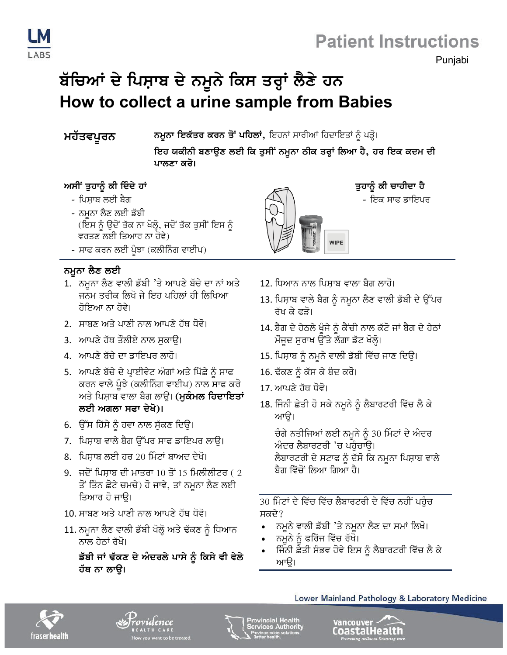

### **Patient Instructions**

Punjabi

## ਬੱਚਿਆਂ ਦੇ ਪਿਸ਼ਾਬ ਦੇ ਨਮੂਨੇ ਕਿਸ ਤਰ੍ਹਾਂ ਲੈਣੇ ਹਨ How to collect a urine sample from Babies

#### ਮਹੱਤਵਪੂਰਨ

**ਨਮੁਨਾ ਇਕੱਤਰ ਕਰਨ ਤੋਂ ਪਹਿਲਾਂ,** ਇਹਨਾਂ ਸਾਰੀਆਂ ਹਿਦਾਇਤਾਂ ਨੂੰ ਪੜ੍ਹੋ।

ਇਹ ਯਕੀਨੀ ਬਣਾਉਣ ਲਈ ਕਿ ਤੁਸੀਂ ਨਮੂਨਾ ਠੀਕ ਤਰ੍ਹਾਂ ਲਿਆ ਹੈ, ਹਰ ਇਕ ਕਦਮ ਦੀ ਪਾਲਣਾ ਕਰੋ।

#### ਅਸੀਂ ਤੁਹਾਨੂੰ ਕੀ ਦਿੰਦੇ ਹਾਂ

- ਪਿਸ਼ਾਬ ਲਈ ਬੈਗ
- ਨਮੂਨਾ ਲੈਣ ਲਈ ਡੱਬੀ (ਇਸ ਨੂੰ ਉਦੋਂ ਤੱਕ ਨਾ ਖੋਲ੍ਹੋ, ਜਦੋਂ ਤੱਕ ਤੁਸੀਂ ਇਸ ਨੂੰ ਵਰਤਣ ਲਈ ਤਿਆਰ ਨਾ ਹੋਵੇ)
- ਸਾਫ ਕਰਨ ਲਈ ਪੂੰਝਾ (ਕਲੀਨਿੰਗ ਵਾਈਪ)

#### ਨਮੂਨਾ ਲੈਣ ਲਈ

- 1. ਨਮੂਨਾ ਲੈਣ ਵਾਲੀ ਡੱਬੀ 'ਤੇ ਆਪਣੇ ਬੱਚੇ ਦਾ ਨਾਂ ਅਤੇ ਜਨਮ ਤਰੀਕ ਲਿਖੋ ਜੇ ਇਹ ਪਹਿਲਾਂ ਹੀ ਲਿਖਿਆ ਹੋਇਆ ਨਾ ਹੋਵੇ।
- 2. ਸਾਬਣ ਅਤੇ ਪਾਣੀ ਨਾਲ ਆਪਣੇ ਹੱਥ ਧੋਵੋ।
- 3. ਆਪਣੇ ਹੱਥ ਤੌਲੀਏ ਨਾਲ ਸਕਾੳ।
- 4. ਆਪਣੇ ਬੱਚੇ ਦਾ ਡਾਇਪਰ ਲਾਹੋ।
- 5. ਆਪਣੇ ਬੱਚੇ ਦੇ ਪ੍ਰਾਈਵੇਟ ਅੰਗਾਂ ਅਤੇ ਪਿੱਛੇ ਨੂੰ ਸਾਫ ਕਰਨ ਵਾਲੇ ਪੁੰਝੇ (ਕਲੀਨਿੰਗ ਵਾਈਪ) ਨਾਲ ਸਾਫ ਕਰੋ ਅਤੇ ਪਿਸ਼ਾਬ ਵਾਲਾ ਬੈਗ ਲਾਉ। (**ਮੁਕੰਮਲ ਹਿਦਾਇਤਾਂ** ਲਈ ਅਗਲਾ ਸਫਾ ਦੇਖੋ)।
- 6. ਉੱਸ ਹਿੱਸੇ ਨੂੰ ਹਵਾ ਨਾਲ ਸੁੱਕਣ ਦਿਉ।
- 7. ਪਿਸਾਬ ਵਾਲੇ ਬੈਗ ਉੱਪਰ ਸਾਫ ਡਾਇਪਰ ਲਾੳ।
- 8. ਪਿਸਾਬ ਲਈ ਹਰ 20 ਮਿੰਟਾਂ ਬਾਅਦ ਦੇਖੋ।
- 9. ਜਦੋਂ ਪਿਸ਼ਾਬ ਦੀ ਮਾਤਰਾ 10 ਤੋਂ 15 ਮਿਲੀਲੀਟਰ ( 2 ਤੋਂ ਤਿੰਨ ਛੋਟੇ ਚਮਚੇ) ਹੋ ਜਾਵੇ, ਤਾਂ ਨਮੂਨਾ ਲੈਣ ਲਈ ਤਿਆਰ ਹੋ ਜਾੳ।
- 10. ਸਾਬਣ ਅਤੇ ਪਾਣੀ ਨਾਲ ਆਪਣੇ ਹੱਥ ਧੋਵੋ।
- 11. ਨਮੂਨਾ ਲੈਣ ਵਾਲੀ ਡੱਬੀ ਖੋਲ੍ਹੋ ਅਤੇ ਢੱਕਣ ਨੂੰ ਧਿਆਨ ਨਾਲ ਹੇਨਾਂ ਰੱਖੋ।

ਡੱਬੀ ਜਾਂ ਢੱਕਣ ਦੇ ਅੰਦਰਲੇ ਪਾਸੇ ਨੂੰ ਕਿਸੇ ਵੀ ਵੇਲੇ ਹੱਥ ਨਾ ਲਾੳ।



ਤੁਹਾਨੂੰ ਕੀ ਚਾਹੀਦਾ ਹੈ

- ਇਕ ਸਾਫ ਡਾਇਪਰ

- 12. ਧਿਆਨ ਨਾਲ ਪਿਸਾਬ ਵਾਲਾ ਬੈਗ ਲਾਹੋ।
- 13. ਪਿਸ਼ਾਬ ਵਾਲੇ ਬੈਗ ਨੂੰ ਨਮੂਨਾ ਲੈਣ ਵਾਲੀ ਡੱਬੀ ਦੇ ਉੱਪਰ ਰੱਖ ਕੇ ਫਤੋ।
- 14. ਬੈਗ ਦੇ ਹੇਠਲੇ ਖੁੰਜੇ ਨੂੰ ਕੈਂਚੀ ਨਾਲ ਕੱਟੋ ਜਾਂ ਬੈਗ ਦੇ ਹੇਠਾਂ ਮੌਜੂਦ ਸੁਰਾਖ ਉੱਤੇ ਲੱਗਾ ਡੱਟ ਖੋਲ੍ਹੋ।
- 15. ਪਿਸ਼ਾਬ ਨੂੰ ਨਮੂਨੇ ਵਾਲੀ ਡੱਬੀ ਵਿੱਚ ਜਾਣ ਦਿਉ।
- 16. ਢੱਕਣ ਨੂੰ ਕੱਸ ਕੇ ਬੰਦ ਕਰੋ।
- 17. ਆਪਣੇ ਹੱਥ ਧੋਵੋ।
- 18. ਜਿੰਨੀ ਛੇਤੀ ਹੋ ਸਕੇ ਨਮੂਨੇ ਨੂੰ ਲੈਬਾਰਟਰੀ ਵਿੱਚ ਲੈ ਕੇ ਆਉ।

ਚੰਗੇ ਨਤੀਜਿਆਂ ਲਈ ਨਮੂਨੇ ਨੂੰ 30 ਮਿੰਟਾਂ ਦੇ ਅੰਦਰ ਅੰਦਰ ਲੈਬਾਰਟਰੀ 'ਚ ਪਹੁੰਚਾਉ। ਲੈਬਾਰਟਰੀ ਦੇ ਸਟਾਫ ਨੂੰ ਦੱਸੋ ਕਿ ਨਮੂਨਾ ਪਿਸ਼ਾਬ ਵਾਲੇ ਬੈਗ ਵਿੱਚੋਂ ਲਿਆ ਗਿਆ ਹੈ।

30 ਮਿੰਟਾਂ ਦੇ ਵਿੱਚ ਵਿੱਚ ਲੈਬਾਰਟਰੀ ਦੇ ਵਿੱਚ ਨਹੀਂ ਪਹੁੰਚ ਸਕਦੇ?

- ਨਮੁਨੇ ਵਾਲੀ ਡੱਬੀ 'ਤੇ ਨਮੁਨਾ ਲੈਣ ਦਾ ਸਮਾਂ ਲਿਖੋ।
- ਨਮੂਨੇ ਨੂੰ ਫਰਿੱਜ ਵਿੱਚ ਰੱਖੋ।
- ਜਿੰਨੀ ਛੇਤੀ ਸੰਭਵ ਹੋਵੇ ਇਸ ਨੂੰ ਲੈਬਾਰਟਰੀ ਵਿੱਚ ਲੈ ਕੇ ਆੳ।



ovidence



Provincial Health<br>Services Authorit



Lower Mainland Pathology & Laboratory Medicine